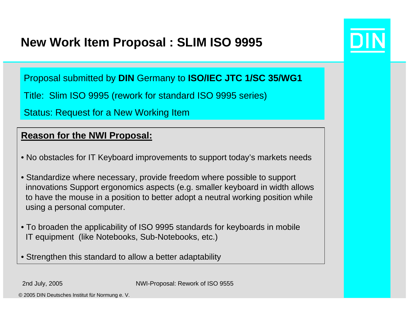### **New Work Item Proposal : SLIM ISO 9995**

Proposal submitted by **DIN** Germany to **ISO/IEC JTC 1/SC 35/WG1**

Title: Slim ISO 9995 (rework for standard ISO 9995 series)

Status: Request for a New Working Item

#### **Reason for the NWI Proposal:**

- No obstacles for IT Keyboard improvements to support today's markets needs
- Standardize where necessary, provide freedom where possible to support innovations Support ergonomics aspects (e.g. smaller keyboard in width allows to have the mouse in a position to better adopt a neutral working position while using a personal computer.
- To broaden the applicability of ISO 9995 standards for keyboards in mobile IT equipment (like Notebooks, Sub-Notebooks, etc.)
- Strengthen this standard to allow a better adaptability

2nd July, 2005 NWI-Proposal: Rework of ISO 9555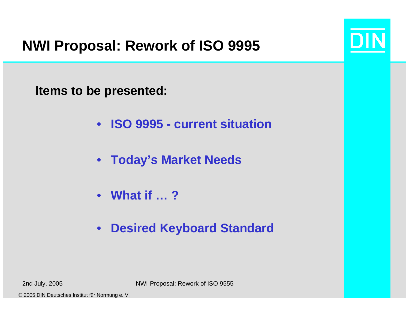# **NWI Proposal: Rework of ISO 9995**

**Items to be presented:**

- $\bullet$ **ISO 9995 - current situation**
- **Today's Market Needs**
- **What if … ?**
- $\bullet$ **Desired Keyboard Standard**

2nd July, 2005 NWI-Proposal: Rework of ISO 9555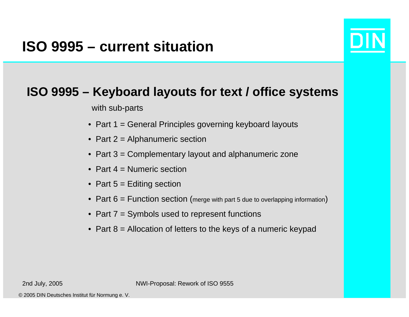## **ISO 9995 – current situation**



### **ISO 9995 – Keyboard layouts for text / office systems**

with sub-parts

- Part 1 = General Principles governing keyboard layouts
- Part 2 = Alphanumeric section
- Part 3 = Complementary layout and alphanumeric zone
- Part 4 = Numeric section
- Part 5 = Editing section
- $\bullet~$  Part  $6$  = Function <code>section</code> (merge with part 5 due to overlapping information)
- Part 7 = Symbols used to represent functions
- Part 8 = Allocation of letters to the keys of a numeric keypad

2nd July, 2005 NWI-Proposal: Rework of ISO 9555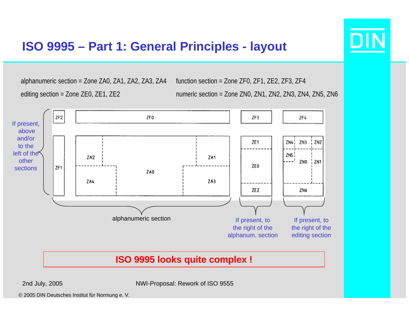

### **ISO 9995 – Part 1: General Principles - layout**

alphanumeric section = Zone ZA0, ZA1, ZA2, ZA3, ZA4 editing section = Zone ZE0, ZE1, ZE2 function section = Zone ZF0, ZF1, ZE2, ZF3, ZF4 numeric section = Zone ZN0, ZN1, ZN2, ZN3, ZN4, ZN5, ZN6

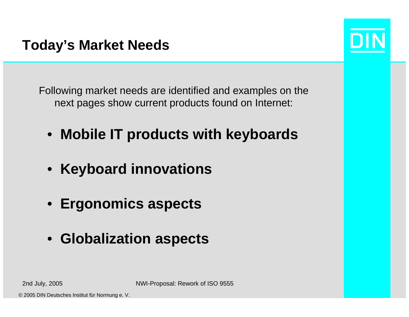Following market needs are identified and examples on the next pages show current products found on Internet:

- **Mobile IT products with keyboards**
- **Keyboard innovations**
- **Ergonomics aspects**
- **Globalization aspects**

2nd July, 2005 NWI-Proposal: Rework of ISO 9555

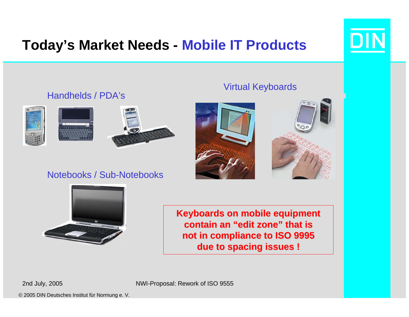# **Today's Market Needs - Mobile IT Products**







### Notebooks / Sub-Notebooks

### Virtual Keyboards





**Keyboards on mobile equipment Keyboards on mobile equipment contain an "edit zone" that is contain an "edit zone" that is not in compliance to ISO 9995 not in compliance to ISO 9995 due to spacing issues ! due to spacing issues !**

2nd July, 2005 NWI-Proposal: Rework of ISO 9555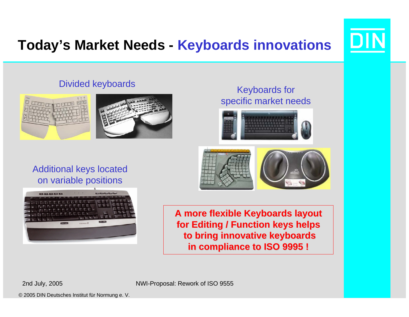# **Today's Market Needs - Keyboards innovations**

### Divided keyboards





Keyboards for specific market needs



#### Additional keys located on variable positions



**A more flexible Keyboards layout A more flexible Keyboards layout for Editing / Function keys helps for Editing / Function keys helps to bring innovative keyboards to bring innovative keyboards in compliance to ISO 9995 ! in compliance to ISO 9995 !**

2nd July, 2005 NWI-Proposal: Rework of ISO 9555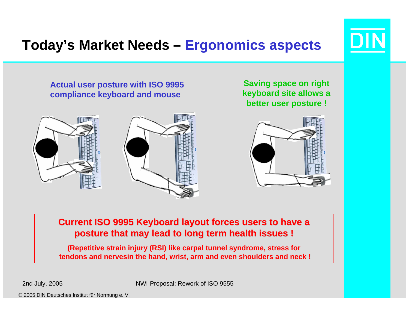# **Today's Market Needs – Ergonomics aspects**

**Actual user posture with ISO 9995 compliance keyboard and mouse**



**Saving space on right keyboard site allows a better user posture !**



**Current ISO 9995 Keyboard layout forces users to have a posture that may lead to long term health issues ! posture that may lead to long term health issues !**

**(Repetitive strain injury (RSI) like carpal tunnel syndrome, stress for tendons and nervesin the hand, wrist, arm and even shoulders and neck !**

2nd July, 2005 NWI-Proposal: Rework of ISO 9555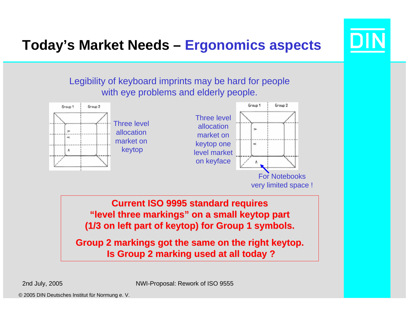

# **Today's Market Needs – Ergonomics aspects**





**Current ISO 9995 standard requires "level three markings" on a small keytop part "level three markings" on a small keytop part (1/3 on left part of keytop) for Group 1 symbols. (1/3 on left part of keytop) for Group 1 symbols.** 

**Group 2 markings got the same on the right keytop. Group 2 got the same on the keytop. Is Group 2 marking used at all today ? Is Group 2 marking used at all today ?**

2nd July, 2005 NWI-Proposal: Rework of ISO 9555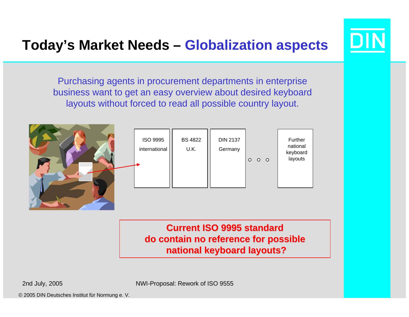

## **Today's Market Needs – Globalization aspects**

Purchasing agents in procurement departments in enterprise business want to get an easy overview about desired keyboard layouts without forced to read all possible country layout.



**Current ISO 9995 standard Current ISO 9995 standard do contain no reference for possible do contain no reference for possible national keyboard layouts? national keyboard layouts?**

2nd July, 2005 NWI-Proposal: Rework of ISO 9555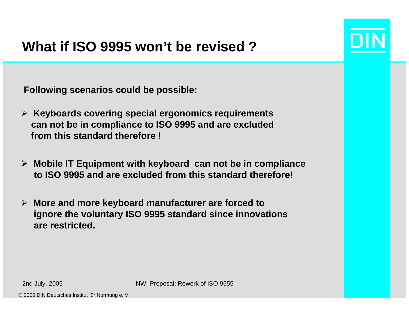

## **What if ISO 9995 won't be revised ?**

**Following scenarios could be possible:**

- ¾ **Keyboards covering special ergonomics requirements can not be in compliance to ISO 9995 and are excluded from this standard therefore !**
- ¾ **Mobile IT Equipment with keyboard can not be in compliance to ISO 9995 and are excluded from this standard therefore!**
- ¾ **More and more keyboard manufacturer are forced to ignore the voluntary ISO 9995 standard since innovations are restricted.**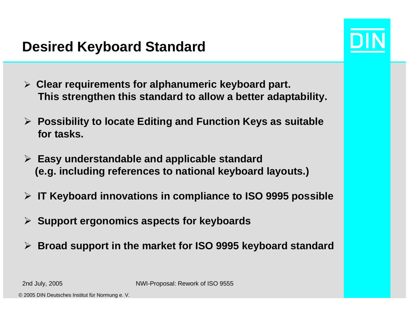### **Desired Keyboard Standard**

- 
- ¾ **Clear requirements for alphanumeric keyboard part. This strengthen this standard to allow a better adaptability.**
- ¾ **Possibility to locate Editing and Function Keys as suitable for tasks.**
- ¾ **Easy understandable and applicable standard (e.g. including references to national keyboard layouts.)**
- ¾ **IT Keyboard innovations in compliance to ISO 9995 possible**
- ¾ **Support ergonomics aspects for keyboards**
- ¾**Broad support in the market for ISO 9995 keyboard standard**